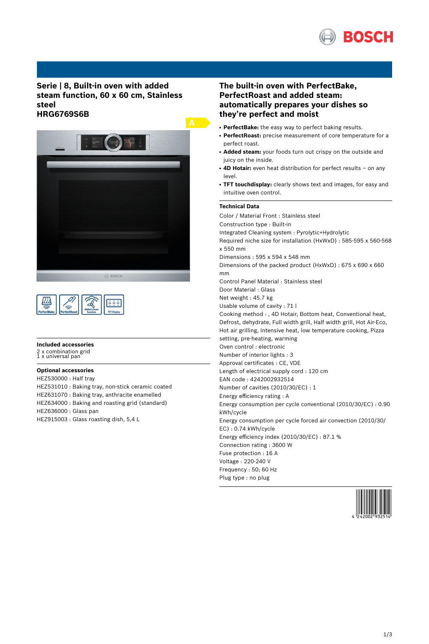

# **Serie | 8, Built-in oven with added steam function, 60 x 60 cm, Stainless steel HRG6769S6B**



| ຣ<br>nefortRake <sup>r</sup> | $\sim$<br><b>OnrfortDonet</b> |  | <b>TFT Display</b> |
|------------------------------|-------------------------------|--|--------------------|
|------------------------------|-------------------------------|--|--------------------|

#### **Included accessories**

2 x combination grid 1 x universal pan

**Optional accessories** HEZ530000 : Half tray HEZ531010 : Baking tray, non-stick ceramic coated HEZ631070 : Baking tray, anthracite enamelled HEZ634000 : Baking and roasting grid (standard) HEZ636000 : Glass pan HEZ915003 : Glass roasting dish, 5,4 L

# **The built-in oven with PerfectBake, PerfectRoast and added steam: automatically prepares your dishes so they're perfect and moist**

- PerfectBake: the easy way to perfect baking results.
- PerfectRoast: precise measurement of core temperature for a perfect roast.
- Added steam: your foods turn out crispy on the outside and juicy on the inside.
- 4D Hotair: even heat distribution for perfect results on any level.
- **TFT touchdisplay:** clearly shows text and images, for easy and intuitive oven control.

## **Technical Data**

Color / Material Front : Stainless steel Construction type : Built-in Integrated Cleaning system : Pyrolytic+Hydrolytic Required niche size for installation (HxWxD) : 585-595 x 560-568 x 550 mm Dimensions : 595 x 594 x 548 mm Dimensions of the packed product (HxWxD) : 675 x 690 x 660 mm Control Panel Material : Stainless steel Door Material : Glass Net weight : 45.7 kg Usable volume of cavity : 71 l Cooking method : , 4D Hotair, Bottom heat, Conventional heat, Defrost, dehydrate, Full width grill, Half width grill, Hot Air-Eco, Hot air grilling, Intensive heat, low temperature cooking, Pizza setting, pre-heating, warming Oven control : electronic Number of interior lights : 3 Approval certificates : CE, VDE Length of electrical supply cord : 120 cm EAN code : 4242002932514 Number of cavities (2010/30/EC) : 1 Energy efficiency rating : A Energy consumption per cycle conventional (2010/30/EC) : 0.90 kWh/cycle Energy consumption per cycle forced air convection (2010/30/ EC) : 0.74 kWh/cycle Energy efficiency index (2010/30/EC) : 87.1 % Connection rating : 3600 W Fuse protection : 16 A Voltage : 220-240 V Frequency : 50; 60 Hz Plug type : no plug

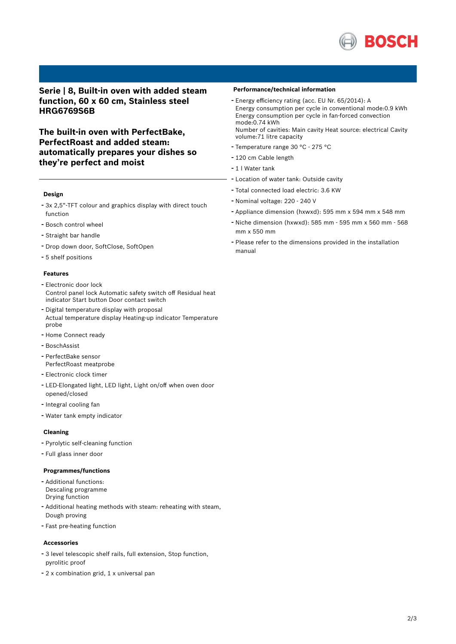

# **Serie | 8, Built-in oven with added steam function, 60 x 60 cm, Stainless steel HRG6769S6B**

**The built-in oven with PerfectBake, PerfectRoast and added steam: automatically prepares your dishes so they're perfect and moist**

### **Design**

- 3x 2,5"-TFT colour and graphics display with direct touch function
- Bosch control wheel
- Straight bar handle
- Drop down door, SoftClose, SoftOpen
- 5 shelf positions

## **Features**

- Electronic door lock Control panel lock Automatic safety switch off Residual heat indicator Start button Door contact switch
- Digital temperature display with proposal Actual temperature display Heating-up indicator Temperature probe
- Home Connect ready
- BoschAssist
- PerfectBake sensor PerfectRoast meatprobe
- Electronic clock timer
- LED-Elongated light, LED light, Light on/off when oven door opened/closed
- Integral cooling fan
- Water tank empty indicator

## **Cleaning**

- Pyrolytic self-cleaning function
- Full glass inner door

#### **Programmes/functions**

- Additional functions: Descaling programme Drying function
- Additional heating methods with steam: reheating with steam, Dough proving
- Fast pre-heating function

### **Accessories**

- <sup>3</sup> level telescopic shelf rails, full extension, Stop function, pyrolitic proof
- <sup>2</sup> <sup>x</sup> combination grid, <sup>1</sup> <sup>x</sup> universal pan

#### **Performance/technical information**

- Energy efficiency rating (acc. EU Nr. 65/2014): <sup>A</sup> Energy consumption per cycle in conventional mode:0.9 kWh Energy consumption per cycle in fan-forced convection mode:0.74 kWh Number of cavities: Main cavity Heat source: electrical Cavity
- volume:71 litre capacity
- Temperature range <sup>30</sup> °C <sup>275</sup> °C
- <sup>120</sup> cm Cable length
- <sup>1</sup> <sup>l</sup> Water tank
- Location of water tank: Outside cavity
- Total connected load electric: 3.6 KW
- Nominal voltage: <sup>220</sup> <sup>240</sup> <sup>V</sup>
- Appliance dimension (hxwxd): 595 mm x 594 mm x 548 mm
- Niche dimension (hxwxd): <sup>585</sup> mm <sup>595</sup> mm <sup>x</sup> <sup>560</sup> mm <sup>568</sup> mm x 550 mm
- Please refer to the dimensions provided in the installation manual